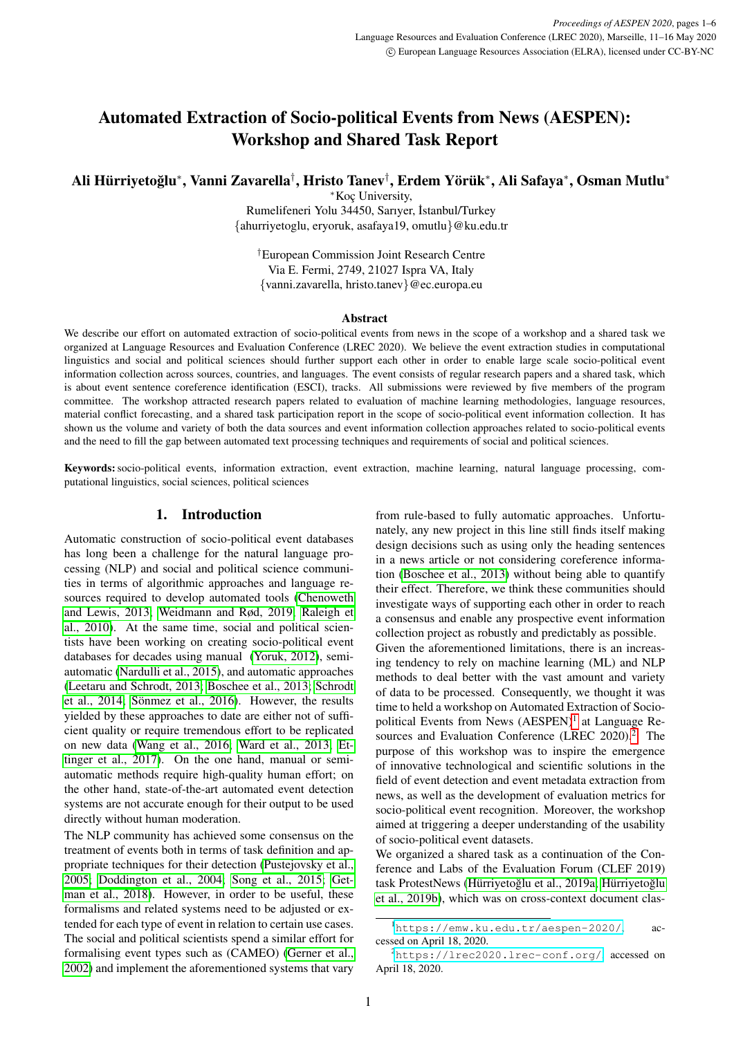# Automated Extraction of Socio-political Events from News (AESPEN): Workshop and Shared Task Report

Ali Hürriyetoğlu\*, Vanni Zavarella<sup>†</sup>, Hristo Tanev<sup>†</sup>, Erdem Yörük\*, Ali Safaya\*, Osman Mutlu\*

<sup>∗</sup>Koc¸ University,

Rumelifeneri Yolu 34450, Sarıyer, ˙Istanbul/Turkey {ahurriyetoglu, eryoruk, asafaya19, omutlu}@ku.edu.tr

†European Commission Joint Research Centre Via E. Fermi, 2749, 21027 Ispra VA, Italy {vanni.zavarella, hristo.tanev}@ec.europa.eu

#### Abstract

We describe our effort on automated extraction of socio-political events from news in the scope of a workshop and a shared task we organized at Language Resources and Evaluation Conference (LREC 2020). We believe the event extraction studies in computational linguistics and social and political sciences should further support each other in order to enable large scale socio-political event information collection across sources, countries, and languages. The event consists of regular research papers and a shared task, which is about event sentence coreference identification (ESCI), tracks. All submissions were reviewed by five members of the program committee. The workshop attracted research papers related to evaluation of machine learning methodologies, language resources, material conflict forecasting, and a shared task participation report in the scope of socio-political event information collection. It has shown us the volume and variety of both the data sources and event information collection approaches related to socio-political events and the need to fill the gap between automated text processing techniques and requirements of social and political sciences.

Keywords:socio-political events, information extraction, event extraction, machine learning, natural language processing, computational linguistics, social sciences, political sciences

## 1. Introduction

Automatic construction of socio-political event databases has long been a challenge for the natural language processing (NLP) and social and political science communities in terms of algorithmic approaches and language resources required to develop automated tools [\(Chenoweth](#page-3-0) [and Lewis, 2013;](#page-3-0) [Weidmann and Rød, 2019;](#page-5-0) [Raleigh et](#page-5-1) [al., 2010\)](#page-5-1). At the same time, social and political scientists have been working on creating socio-political event databases for decades using manual [\(Yoruk, 2012\)](#page-5-2), semiautomatic [\(Nardulli et al., 2015\)](#page-4-0), and automatic approaches [\(Leetaru and Schrodt, 2013;](#page-4-1) [Boschee et al., 2013;](#page-3-1) [Schrodt](#page-5-3) [et al., 2014;](#page-5-3) Sönmez et al., 2016). However, the results yielded by these approaches to date are either not of sufficient quality or require tremendous effort to be replicated on new data [\(Wang et al., 2016;](#page-5-5) [Ward et al., 2013;](#page-5-6) [Et](#page-4-2)[tinger et al., 2017\)](#page-4-2). On the one hand, manual or semiautomatic methods require high-quality human effort; on the other hand, state-of-the-art automated event detection systems are not accurate enough for their output to be used directly without human moderation.

The NLP community has achieved some consensus on the treatment of events both in terms of task definition and appropriate techniques for their detection [\(Pustejovsky et al.,](#page-4-3) [2005;](#page-4-3) [Doddington et al., 2004;](#page-4-4) [Song et al., 2015;](#page-5-7) [Get](#page-4-5)[man et al., 2018\)](#page-4-5). However, in order to be useful, these formalisms and related systems need to be adjusted or extended for each type of event in relation to certain use cases. The social and political scientists spend a similar effort for formalising event types such as (CAMEO) [\(Gerner et al.,](#page-4-6) [2002\)](#page-4-6) and implement the aforementioned systems that vary from rule-based to fully automatic approaches. Unfortunately, any new project in this line still finds itself making design decisions such as using only the heading sentences in a news article or not considering coreference information [\(Boschee et al., 2013\)](#page-3-1) without being able to quantify their effect. Therefore, we think these communities should investigate ways of supporting each other in order to reach a consensus and enable any prospective event information collection project as robustly and predictably as possible. Given the aforementioned limitations, there is an increasing tendency to rely on machine learning (ML) and NLP methods to deal better with the vast amount and variety of data to be processed. Consequently, we thought it was time to held a workshop on Automated Extraction of Socio-political Events from News (AESPEN)<sup>[1](#page-0-0)</sup> at Language Re-sources and Evaluation Conference (LREC [2](#page-0-1)020).<sup>2</sup> The purpose of this workshop was to inspire the emergence of innovative technological and scientific solutions in the field of event detection and event metadata extraction from news, as well as the development of evaluation metrics for socio-political event recognition. Moreover, the workshop aimed at triggering a deeper understanding of the usability of socio-political event datasets.

We organized a shared task as a continuation of the Conference and Labs of the Evaluation Forum (CLEF 2019) task ProtestNews (Hürriyetoğlu et al., 2019a; Hürriyetoğlu [et al., 2019b\)](#page-4-8), which was on cross-context document clas-

<span id="page-0-0"></span><sup>1</sup><https://emw.ku.edu.tr/aespen-2020/>, accessed on April 18, 2020.

<span id="page-0-1"></span><sup>2</sup><https://lrec2020.lrec-conf.org/>, accessed on April 18, 2020.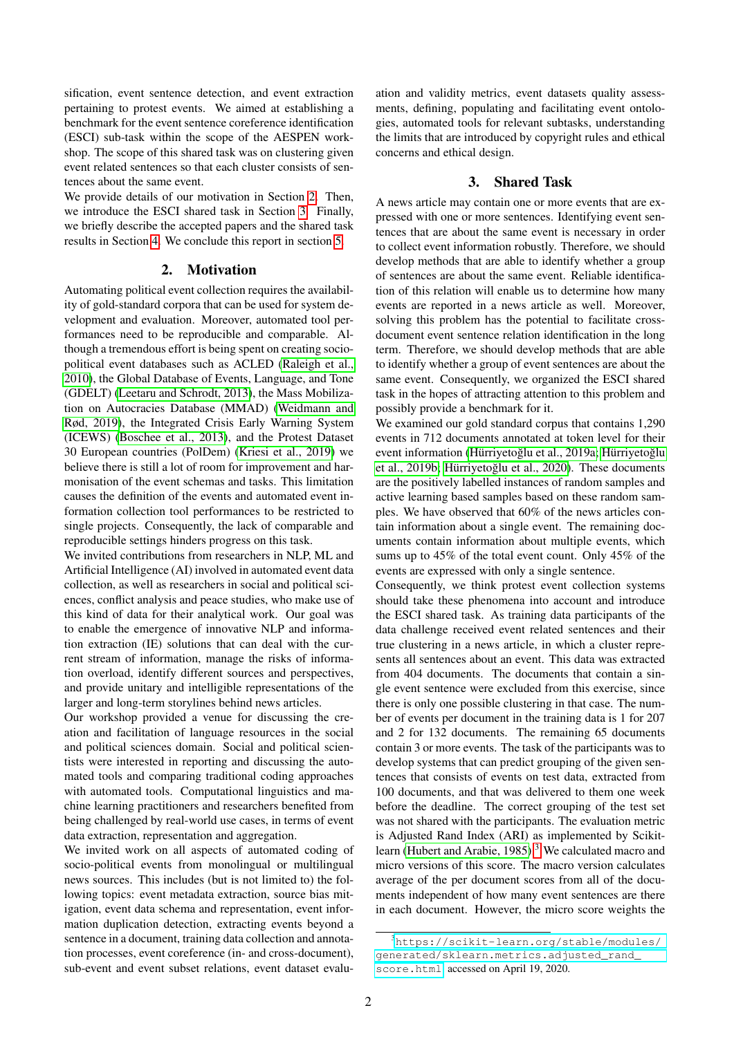sification, event sentence detection, and event extraction pertaining to protest events. We aimed at establishing a benchmark for the event sentence coreference identification (ESCI) sub-task within the scope of the AESPEN workshop. The scope of this shared task was on clustering given event related sentences so that each cluster consists of sentences about the same event.

We provide details of our motivation in Section [2.](#page-1-0) Then, we introduce the ESCI shared task in Section [3.](#page-1-1) Finally, we briefly describe the accepted papers and the shared task results in Section [4.](#page-2-0) We conclude this report in section [5.](#page-3-2)

## 2. Motivation

<span id="page-1-0"></span>Automating political event collection requires the availability of gold-standard corpora that can be used for system development and evaluation. Moreover, automated tool performances need to be reproducible and comparable. Although a tremendous effort is being spent on creating sociopolitical event databases such as ACLED [\(Raleigh et al.,](#page-5-1) [2010\)](#page-5-1), the Global Database of Events, Language, and Tone (GDELT) [\(Leetaru and Schrodt, 2013\)](#page-4-1), the Mass Mobilization on Autocracies Database (MMAD) [\(Weidmann and](#page-5-0) [Rød, 2019\)](#page-5-0), the Integrated Crisis Early Warning System (ICEWS) [\(Boschee et al., 2013\)](#page-3-1), and the Protest Dataset 30 European countries (PolDem) [\(Kriesi et al., 2019\)](#page-4-9) we believe there is still a lot of room for improvement and harmonisation of the event schemas and tasks. This limitation causes the definition of the events and automated event information collection tool performances to be restricted to single projects. Consequently, the lack of comparable and reproducible settings hinders progress on this task.

We invited contributions from researchers in NLP, ML and Artificial Intelligence (AI) involved in automated event data collection, as well as researchers in social and political sciences, conflict analysis and peace studies, who make use of this kind of data for their analytical work. Our goal was to enable the emergence of innovative NLP and information extraction (IE) solutions that can deal with the current stream of information, manage the risks of information overload, identify different sources and perspectives, and provide unitary and intelligible representations of the larger and long-term storylines behind news articles.

Our workshop provided a venue for discussing the creation and facilitation of language resources in the social and political sciences domain. Social and political scientists were interested in reporting and discussing the automated tools and comparing traditional coding approaches with automated tools. Computational linguistics and machine learning practitioners and researchers benefited from being challenged by real-world use cases, in terms of event data extraction, representation and aggregation.

We invited work on all aspects of automated coding of socio-political events from monolingual or multilingual news sources. This includes (but is not limited to) the following topics: event metadata extraction, source bias mitigation, event data schema and representation, event information duplication detection, extracting events beyond a sentence in a document, training data collection and annotation processes, event coreference (in- and cross-document), sub-event and event subset relations, event dataset evaluation and validity metrics, event datasets quality assessments, defining, populating and facilitating event ontologies, automated tools for relevant subtasks, understanding the limits that are introduced by copyright rules and ethical concerns and ethical design.

# 3. Shared Task

<span id="page-1-1"></span>A news article may contain one or more events that are expressed with one or more sentences. Identifying event sentences that are about the same event is necessary in order to collect event information robustly. Therefore, we should develop methods that are able to identify whether a group of sentences are about the same event. Reliable identification of this relation will enable us to determine how many events are reported in a news article as well. Moreover, solving this problem has the potential to facilitate crossdocument event sentence relation identification in the long term. Therefore, we should develop methods that are able to identify whether a group of event sentences are about the same event. Consequently, we organized the ESCI shared task in the hopes of attracting attention to this problem and possibly provide a benchmark for it.

We examined our gold standard corpus that contains 1,290 events in 712 documents annotated at token level for their event information (Hürriyetoğlu et al., 2019a; Hürriyetoğlu [et al., 2019b;](#page-4-8) Hürriyetoğlu et al., 2020). These documents are the positively labelled instances of random samples and active learning based samples based on these random samples. We have observed that 60% of the news articles contain information about a single event. The remaining documents contain information about multiple events, which sums up to 45% of the total event count. Only 45% of the events are expressed with only a single sentence.

Consequently, we think protest event collection systems should take these phenomena into account and introduce the ESCI shared task. As training data participants of the data challenge received event related sentences and their true clustering in a news article, in which a cluster represents all sentences about an event. This data was extracted from 404 documents. The documents that contain a single event sentence were excluded from this exercise, since there is only one possible clustering in that case. The number of events per document in the training data is 1 for 207 and 2 for 132 documents. The remaining 65 documents contain 3 or more events. The task of the participants was to develop systems that can predict grouping of the given sentences that consists of events on test data, extracted from 100 documents, and that was delivered to them one week before the deadline. The correct grouping of the test set was not shared with the participants. The evaluation metric is Adjusted Rand Index (ARI) as implemented by Scikit-learn [\(Hubert and Arabie, 1985\)](#page-4-11).<sup>[3](#page-1-2)</sup> We calculated macro and micro versions of this score. The macro version calculates average of the per document scores from all of the documents independent of how many event sentences are there in each document. However, the micro score weights the

<span id="page-1-2"></span><sup>3</sup>[https://scikit-learn.org/stable/modules/](https://scikit-learn.org/stable/modules/generated/sklearn.metrics.adjusted_rand_score.html) [generated/sklearn.metrics.adjusted\\_rand\\_](https://scikit-learn.org/stable/modules/generated/sklearn.metrics.adjusted_rand_score.html) [score.html](https://scikit-learn.org/stable/modules/generated/sklearn.metrics.adjusted_rand_score.html), accessed on April 19, 2020.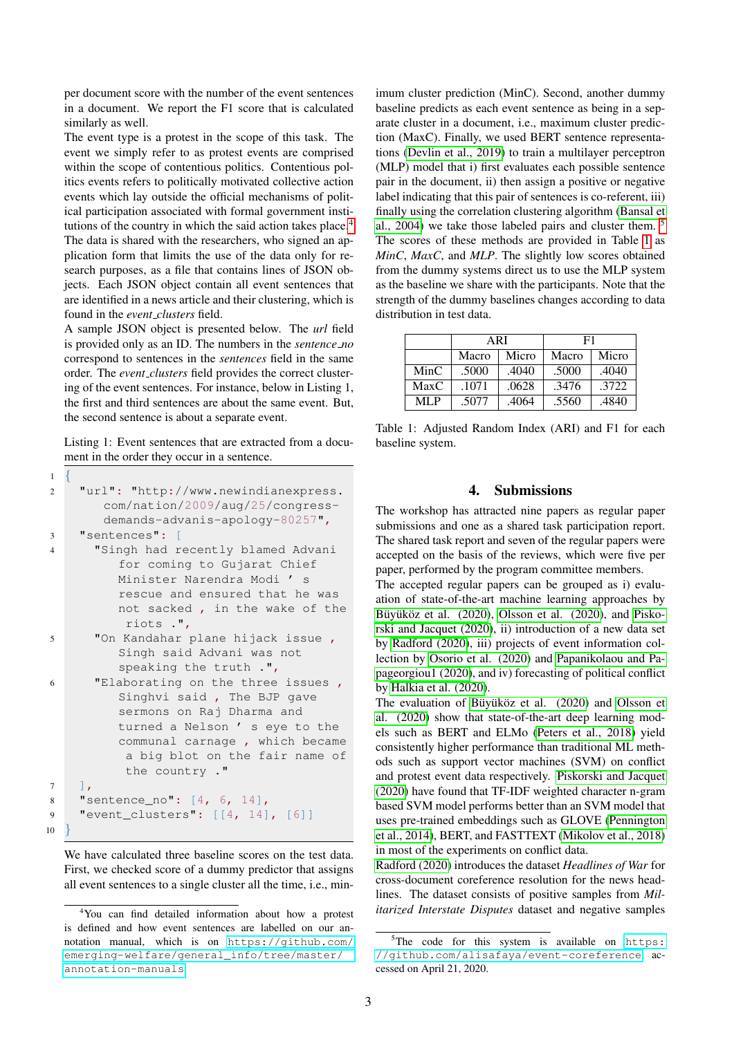per document score with the number of the event sentences in a document. We report the F1 score that is calculated similarly as well.

The event type is a protest in the scope of this task. The event we simply refer to as protest events are comprised within the scope of contentious politics. Contentious politics events refers to politically motivated collective action events which lay outside the official mechanisms of political participation associated with formal government insti-tutions of the country in which the said action takes place.<sup>[4](#page-2-1)</sup> The data is shared with the researchers, who signed an application form that limits the use of the data only for research purposes, as a file that contains lines of JSON objects. Each JSON object contain all event sentences that are identified in a news article and their clustering, which is found in the *event clusters* field.

A sample JSON object is presented below. The *url* field is provided only as an ID. The numbers in the *sentence no* correspond to sentences in the *sentences* field in the same order. The *event clusters* field provides the correct clustering of the event sentences. For instance, below in Listing 1, the first and third sentences are about the same event. But, the second sentence is about a separate event.

Listing 1: Event sentences that are extracted from a document in the order they occur in a sentence.

```
\overline{1}2 "url": "http://www.newindianexpress.
        com/nation/2009/aug/25/congress-
        demands-advanis-apology-80257",
3 "sentences": [
4 "Singh had recently blamed Advani
          for coming to Gujarat Chief
          Minister Narendra Modi ' s
          rescue and ensured that he was
          not sacked , in the wake of the
           riots .",
5 "On Kandahar plane hijack issue ,
          Singh said Advani was not
          speaking the truth .",
6 "Elaborating on the three issues ,
          Singhvi said , The BJP gave
          sermons on Raj Dharma and
          turned a Nelson ' s eye to the
          communal carnage , which became
           a big blot on the fair name of
           the country ."
7 \quad \boxed{\phantom{0}}8 "sentence_no": [4, 6, 14],
9 "event_clusters": [[4, 14], [6]]
10 }
```
We have calculated three baseline scores on the test data. First, we checked score of a dummy predictor that assigns all event sentences to a single cluster all the time, i.e., minimum cluster prediction (MinC). Second, another dummy baseline predicts as each event sentence as being in a separate cluster in a document, i.e., maximum cluster prediction (MaxC). Finally, we used BERT sentence representations [\(Devlin et al., 2019\)](#page-3-3) to train a multilayer perceptron (MLP) model that i) first evaluates each possible sentence pair in the document, ii) then assign a positive or negative label indicating that this pair of sentences is co-referent, iii) finally using the correlation clustering algorithm [\(Bansal et](#page-3-4) [al., 2004\)](#page-3-4) we take those labeled pairs and cluster them. [5](#page-2-2) The scores of these methods are provided in Table [1](#page-2-3) as *MinC*, *MaxC*, and *MLP*. The slightly low scores obtained from the dummy systems direct us to use the MLP system as the baseline we share with the participants. Note that the strength of the dummy baselines changes according to data distribution in test data.

|      | ARI   |       | F1    |       |
|------|-------|-------|-------|-------|
|      | Macro | Micro | Macro | Micro |
| MinC | .5000 | .4040 | .5000 | .4040 |
| MaxC | .1071 | .0628 | .3476 | 3722  |
| MI P | .5077 | .4064 | .5560 | .4840 |

<span id="page-2-3"></span>Table 1: Adjusted Random Index (ARI) and F1 for each baseline system.

## 4. Submissions

<span id="page-2-0"></span>The workshop has attracted nine papers as regular paper submissions and one as a shared task participation report. The shared task report and seven of the regular papers were accepted on the basis of the reviews, which were five per paper, performed by the program committee members.

The accepted regular papers can be grouped as i) evaluation of state-of-the-art machine learning approaches by Büyüköz et al. (2020), [Olsson et al. \(2020\)](#page-4-12), and [Pisko](#page-4-13) [rski and Jacquet \(2020\)](#page-4-13), ii) introduction of a new data set by [Radford \(2020\)](#page-4-14), iii) projects of event information collection by [Osorio et al. \(2020\)](#page-4-15) and [Papanikolaou and Pa](#page-4-16)[pageorgiou1 \(2020\)](#page-4-16), and iv) forecasting of political conflict by [Halkia et al. \(2020\)](#page-4-17).

The evaluation of Büyüköz et al. (2020) and [Olsson et](#page-4-12) [al. \(2020\)](#page-4-12) show that state-of-the-art deep learning models such as BERT and ELMo [\(Peters et al., 2018\)](#page-4-18) yield consistently higher performance than traditional ML methods such as support vector machines (SVM) on conflict and protest event data respectively. [Piskorski and Jacquet](#page-4-13) [\(2020\)](#page-4-13) have found that TF-IDF weighted character n-gram based SVM model performs better than an SVM model that uses pre-trained embeddings such as GLOVE [\(Pennington](#page-4-19) [et al., 2014\)](#page-4-19), BERT, and FASTTEXT [\(Mikolov et al., 2018\)](#page-4-20) in most of the experiments on conflict data.

[Radford \(2020\)](#page-4-14) introduces the dataset *Headlines of War* for cross-document coreference resolution for the news headlines. The dataset consists of positive samples from *Militarized Interstate Disputes* dataset and negative samples

<span id="page-2-1"></span><sup>4</sup>You can find detailed information about how a protest is defined and how event sentences are labelled on our annotation manual, which is on [https://github.com/](https://github.com/emerging-welfare/general_info/tree/master/annotation-manuals) [emerging-welfare/general\\_info/tree/master/](https://github.com/emerging-welfare/general_info/tree/master/annotation-manuals) [annotation-manuals](https://github.com/emerging-welfare/general_info/tree/master/annotation-manuals).

<span id="page-2-2"></span><sup>&</sup>lt;sup>5</sup>The code for this system is available on [https:](https://github.com/alisafaya/event-coreference) [//github.com/alisafaya/event-coreference](https://github.com/alisafaya/event-coreference), accessed on April 21, 2020.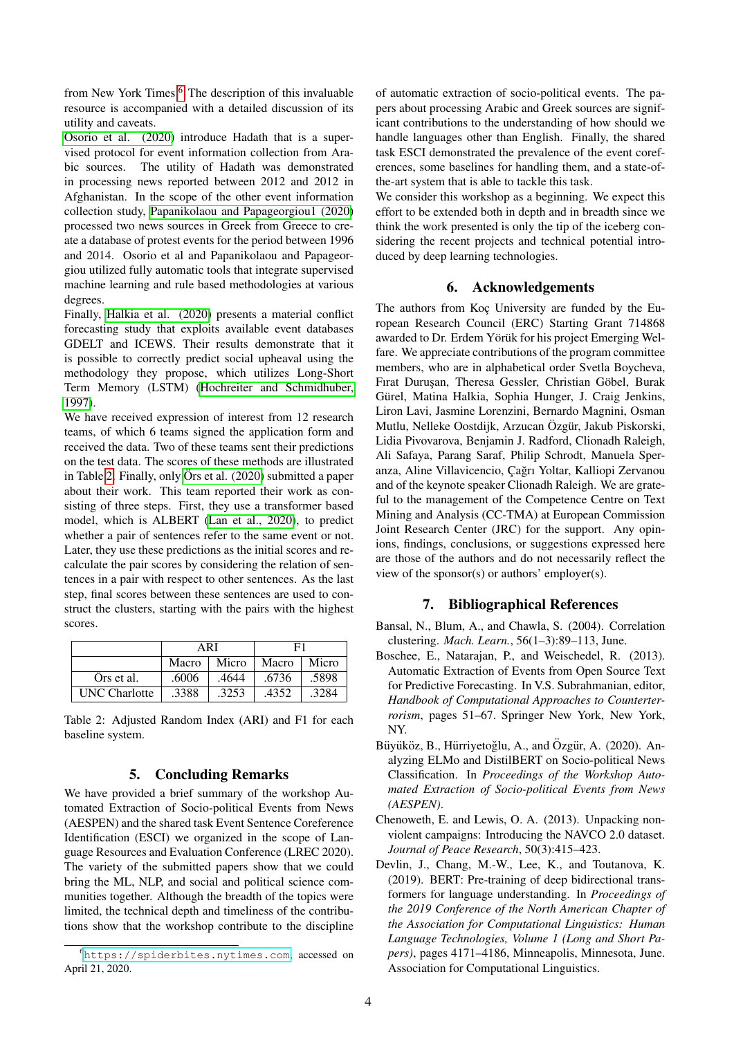from New York Times.<sup>[6](#page-3-6)</sup> The description of this invaluable resource is accompanied with a detailed discussion of its utility and caveats.

[Osorio et al. \(2020\)](#page-4-15) introduce Hadath that is a supervised protocol for event information collection from Arabic sources. The utility of Hadath was demonstrated in processing news reported between 2012 and 2012 in Afghanistan. In the scope of the other event information collection study, [Papanikolaou and Papageorgiou1 \(2020\)](#page-4-16) processed two news sources in Greek from Greece to create a database of protest events for the period between 1996 and 2014. Osorio et al and Papanikolaou and Papageorgiou utilized fully automatic tools that integrate supervised machine learning and rule based methodologies at various degrees.

Finally, [Halkia et al. \(2020\)](#page-4-17) presents a material conflict forecasting study that exploits available event databases GDELT and ICEWS. Their results demonstrate that it is possible to correctly predict social upheaval using the methodology they propose, which utilizes Long-Short Term Memory (LSTM) [\(Hochreiter and Schmidhuber,](#page-4-21) [1997\)](#page-4-21).

We have received expression of interest from 12 research teams, of which 6 teams signed the application form and received the data. Two of these teams sent their predictions on the test data. The scores of these methods are illustrated in Table [2.](#page-3-7) Finally, only Örs et al.  $(2020)$  submitted a paper about their work. This team reported their work as consisting of three steps. First, they use a transformer based model, which is ALBERT [\(Lan et al., 2020\)](#page-4-23), to predict whether a pair of sentences refer to the same event or not. Later, they use these predictions as the initial scores and recalculate the pair scores by considering the relation of sentences in a pair with respect to other sentences. As the last step, final scores between these sentences are used to construct the clusters, starting with the pairs with the highest scores.

|                      | ARI   |       | F1    |       |
|----------------------|-------|-------|-------|-------|
|                      | Macro | Micro | Macro | Micro |
| Ors et al.           | .6006 | .4644 | .6736 | .5898 |
| <b>UNC</b> Charlotte | .3388 | .3253 | .4352 | .3284 |

<span id="page-3-7"></span>Table 2: Adjusted Random Index (ARI) and F1 for each baseline system.

## 5. Concluding Remarks

<span id="page-3-2"></span>We have provided a brief summary of the workshop Automated Extraction of Socio-political Events from News (AESPEN) and the shared task Event Sentence Coreference Identification (ESCI) we organized in the scope of Language Resources and Evaluation Conference (LREC 2020). The variety of the submitted papers show that we could bring the ML, NLP, and social and political science communities together. Although the breadth of the topics were limited, the technical depth and timeliness of the contributions show that the workshop contribute to the discipline of automatic extraction of socio-political events. The papers about processing Arabic and Greek sources are significant contributions to the understanding of how should we handle languages other than English. Finally, the shared task ESCI demonstrated the prevalence of the event coreferences, some baselines for handling them, and a state-ofthe-art system that is able to tackle this task.

We consider this workshop as a beginning. We expect this effort to be extended both in depth and in breadth since we think the work presented is only the tip of the iceberg considering the recent projects and technical potential introduced by deep learning technologies.

## 6. Acknowledgements

The authors from Koc University are funded by the European Research Council (ERC) Starting Grant 714868 awarded to Dr. Erdem Yörük for his project Emerging Welfare. We appreciate contributions of the program committee members, who are in alphabetical order Svetla Boycheva, Fırat Duruşan, Theresa Gessler, Christian Göbel, Burak Gürel, Matina Halkia, Sophia Hunger, J. Craig Jenkins, Liron Lavi, Jasmine Lorenzini, Bernardo Magnini, Osman Mutlu, Nelleke Oostdijk, Arzucan Özgür, Jakub Piskorski, Lidia Pivovarova, Benjamin J. Radford, Clionadh Raleigh, Ali Safaya, Parang Saraf, Philip Schrodt, Manuela Speranza, Aline Villavicencio, Çağrı Yoltar, Kalliopi Zervanou and of the keynote speaker Clionadh Raleigh. We are grateful to the management of the Competence Centre on Text Mining and Analysis (CC-TMA) at European Commission Joint Research Center (JRC) for the support. Any opinions, findings, conclusions, or suggestions expressed here are those of the authors and do not necessarily reflect the view of the sponsor(s) or authors' employer(s).

## 7. Bibliographical References

- <span id="page-3-4"></span>Bansal, N., Blum, A., and Chawla, S. (2004). Correlation clustering. *Mach. Learn.*, 56(1–3):89–113, June.
- <span id="page-3-1"></span>Boschee, E., Natarajan, P., and Weischedel, R. (2013). Automatic Extraction of Events from Open Source Text for Predictive Forecasting. In V.S. Subrahmanian, editor, *Handbook of Computational Approaches to Counterterrorism*, pages 51–67. Springer New York, New York, NY.
- <span id="page-3-5"></span>Büyüköz, B., Hürriyetoğlu, A., and Özgür, A. (2020). Analyzing ELMo and DistilBERT on Socio-political News Classification. In *Proceedings of the Workshop Automated Extraction of Socio-political Events from News (AESPEN)*.
- <span id="page-3-0"></span>Chenoweth, E. and Lewis, O. A. (2013). Unpacking nonviolent campaigns: Introducing the NAVCO 2.0 dataset. *Journal of Peace Research*, 50(3):415–423.
- <span id="page-3-3"></span>Devlin, J., Chang, M.-W., Lee, K., and Toutanova, K. (2019). BERT: Pre-training of deep bidirectional transformers for language understanding. In *Proceedings of the 2019 Conference of the North American Chapter of the Association for Computational Linguistics: Human Language Technologies, Volume 1 (Long and Short Papers)*, pages 4171–4186, Minneapolis, Minnesota, June. Association for Computational Linguistics.

<span id="page-3-6"></span><sup>6</sup><https://spiderbites.nytimes.com>, accessed on April 21, 2020.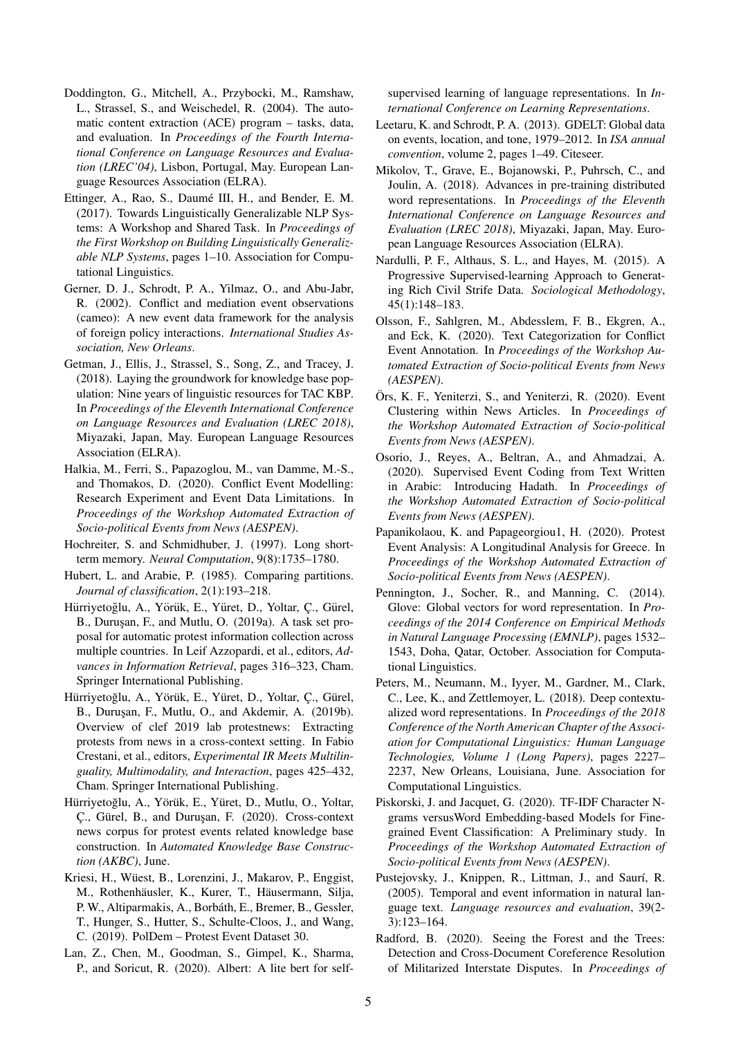- <span id="page-4-4"></span>Doddington, G., Mitchell, A., Przybocki, M., Ramshaw, L., Strassel, S., and Weischedel, R. (2004). The automatic content extraction (ACE) program – tasks, data, and evaluation. In *Proceedings of the Fourth International Conference on Language Resources and Evaluation (LREC'04)*, Lisbon, Portugal, May. European Language Resources Association (ELRA).
- <span id="page-4-2"></span>Ettinger, A., Rao, S., Daumé III, H., and Bender, E. M. (2017). Towards Linguistically Generalizable NLP Systems: A Workshop and Shared Task. In *Proceedings of the First Workshop on Building Linguistically Generalizable NLP Systems*, pages 1–10. Association for Computational Linguistics.
- <span id="page-4-6"></span>Gerner, D. J., Schrodt, P. A., Yilmaz, O., and Abu-Jabr, R. (2002). Conflict and mediation event observations (cameo): A new event data framework for the analysis of foreign policy interactions. *International Studies Association, New Orleans*.
- <span id="page-4-5"></span>Getman, J., Ellis, J., Strassel, S., Song, Z., and Tracey, J. (2018). Laying the groundwork for knowledge base population: Nine years of linguistic resources for TAC KBP. In *Proceedings of the Eleventh International Conference on Language Resources and Evaluation (LREC 2018)*, Miyazaki, Japan, May. European Language Resources Association (ELRA).
- <span id="page-4-17"></span>Halkia, M., Ferri, S., Papazoglou, M., van Damme, M.-S., and Thomakos, D. (2020). Conflict Event Modelling: Research Experiment and Event Data Limitations. In *Proceedings of the Workshop Automated Extraction of Socio-political Events from News (AESPEN)*.
- <span id="page-4-21"></span>Hochreiter, S. and Schmidhuber, J. (1997). Long shortterm memory. *Neural Computation*, 9(8):1735–1780.
- <span id="page-4-11"></span>Hubert, L. and Arabie, P. (1985). Comparing partitions. *Journal of classification*, 2(1):193–218.
- <span id="page-4-7"></span>Hürriyetoğlu, A., Yörük, E., Yüret, D., Yoltar, Ç., Gürel, B., Durusan, F., and Mutlu, O. (2019a). A task set proposal for automatic protest information collection across multiple countries. In Leif Azzopardi, et al., editors, *Advances in Information Retrieval*, pages 316–323, Cham. Springer International Publishing.
- <span id="page-4-8"></span>Hürriyetoğlu, A., Yörük, E., Yüret, D., Yoltar, C., Gürel, B., Durusan, F., Mutlu, O., and Akdemir, A. (2019b). Overview of clef 2019 lab protestnews: Extracting protests from news in a cross-context setting. In Fabio Crestani, et al., editors, *Experimental IR Meets Multilinguality, Multimodality, and Interaction*, pages 425–432, Cham. Springer International Publishing.
- <span id="page-4-10"></span>Hürriyetoğlu, A., Yörük, E., Yüret, D., Mutlu, O., Yoltar, C., Gürel, B., and Duruşan, F. (2020). Cross-context news corpus for protest events related knowledge base construction. In *Automated Knowledge Base Construction (AKBC)*, June.
- <span id="page-4-9"></span>Kriesi, H., Wüest, B., Lorenzini, J., Makarov, P., Enggist, M., Rothenhäusler, K., Kurer, T., Häusermann, Silja, P. W., Altiparmakis, A., Borbáth, E., Bremer, B., Gessler, T., Hunger, S., Hutter, S., Schulte-Cloos, J., and Wang, C. (2019). PolDem – Protest Event Dataset 30.
- <span id="page-4-23"></span>Lan, Z., Chen, M., Goodman, S., Gimpel, K., Sharma, P., and Soricut, R. (2020). Albert: A lite bert for self-

supervised learning of language representations. In *International Conference on Learning Representations*.

- <span id="page-4-1"></span>Leetaru, K. and Schrodt, P. A. (2013). GDELT: Global data on events, location, and tone, 1979–2012. In *ISA annual convention*, volume 2, pages 1–49. Citeseer.
- <span id="page-4-20"></span>Mikolov, T., Grave, E., Bojanowski, P., Puhrsch, C., and Joulin, A. (2018). Advances in pre-training distributed word representations. In *Proceedings of the Eleventh International Conference on Language Resources and Evaluation (LREC 2018)*, Miyazaki, Japan, May. European Language Resources Association (ELRA).
- <span id="page-4-0"></span>Nardulli, P. F., Althaus, S. L., and Hayes, M. (2015). A Progressive Supervised-learning Approach to Generating Rich Civil Strife Data. *Sociological Methodology*, 45(1):148–183.
- <span id="page-4-12"></span>Olsson, F., Sahlgren, M., Abdesslem, F. B., Ekgren, A., and Eck, K. (2020). Text Categorization for Conflict Event Annotation. In *Proceedings of the Workshop Automated Extraction of Socio-political Events from News (AESPEN)*.
- <span id="page-4-22"></span>Ors, K. F., Yeniterzi, S., and Yeniterzi, R. (2020). Event ¨ Clustering within News Articles. In *Proceedings of the Workshop Automated Extraction of Socio-political Events from News (AESPEN)*.
- <span id="page-4-15"></span>Osorio, J., Reyes, A., Beltran, A., and Ahmadzai, A. (2020). Supervised Event Coding from Text Written in Arabic: Introducing Hadath. In *Proceedings of the Workshop Automated Extraction of Socio-political Events from News (AESPEN)*.
- <span id="page-4-16"></span>Papanikolaou, K. and Papageorgiou1, H. (2020). Protest Event Analysis: A Longitudinal Analysis for Greece. In *Proceedings of the Workshop Automated Extraction of Socio-political Events from News (AESPEN)*.
- <span id="page-4-19"></span>Pennington, J., Socher, R., and Manning, C. (2014). Glove: Global vectors for word representation. In *Proceedings of the 2014 Conference on Empirical Methods in Natural Language Processing (EMNLP)*, pages 1532– 1543, Doha, Qatar, October. Association for Computational Linguistics.
- <span id="page-4-18"></span>Peters, M., Neumann, M., Iyyer, M., Gardner, M., Clark, C., Lee, K., and Zettlemoyer, L. (2018). Deep contextualized word representations. In *Proceedings of the 2018 Conference of the North American Chapter of the Association for Computational Linguistics: Human Language Technologies, Volume 1 (Long Papers)*, pages 2227– 2237, New Orleans, Louisiana, June. Association for Computational Linguistics.
- <span id="page-4-13"></span>Piskorski, J. and Jacquet, G. (2020). TF-IDF Character Ngrams versusWord Embedding-based Models for Finegrained Event Classification: A Preliminary study. In *Proceedings of the Workshop Automated Extraction of Socio-political Events from News (AESPEN)*.
- <span id="page-4-3"></span>Pustejovsky, J., Knippen, R., Littman, J., and Saurí, R. (2005). Temporal and event information in natural language text. *Language resources and evaluation*, 39(2- 3):123–164.
- <span id="page-4-14"></span>Radford, B. (2020). Seeing the Forest and the Trees: Detection and Cross-Document Coreference Resolution of Militarized Interstate Disputes. In *Proceedings of*